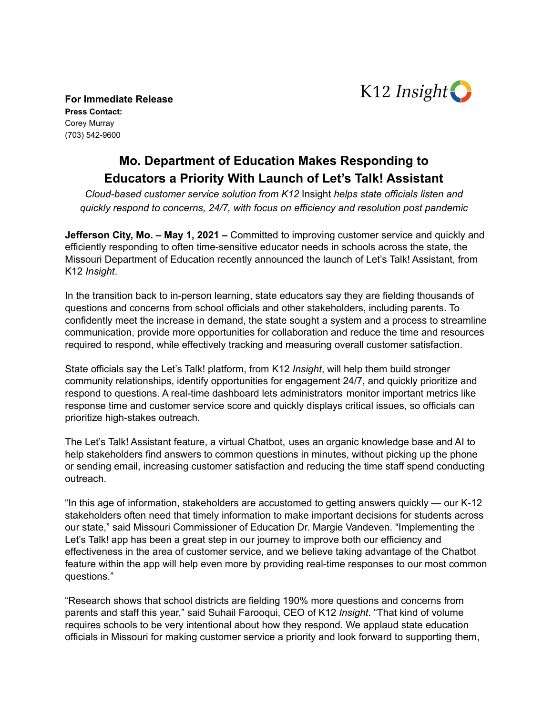

**For Immediate Release Press Contact:** Corey Murray (703) 542-9600

## **Mo. Department of Education Makes Responding to Educators a Priority With Launch of Let's Talk! Assistant**

*Cloud-based customer service solution from K12* Insight *helps state officials listen and quickly respond to concerns, 24/7, with focus on efficiency and resolution post pandemic*

**Jefferson City, Mo. – May 1, 2021 –** Committed to improving customer service and quickly and efficiently responding to often time-sensitive educator needs in schools across the state, the Missouri Department of Education recently announced the launch of Let's Talk! Assistant, from K12 *Insight*.

In the transition back to in-person learning, state educators say they are fielding thousands of questions and concerns from school officials and other stakeholders, including parents. To confidently meet the increase in demand, the state sought a system and a process to streamline communication, provide more opportunities for collaboration and reduce the time and resources required to respond, while effectively tracking and measuring overall customer satisfaction.

State officials say the Let's Talk! platform, from K12 *Insight*, will help them build stronger community relationships, identify opportunities for engagement 24/7, and quickly prioritize and respond to questions. A real-time dashboard lets administrators monitor important metrics like response time and customer service score and quickly displays critical issues, so officials can prioritize high-stakes outreach.

The Let's Talk! Assistant feature, a virtual Chatbot, uses an organic knowledge base and AI to help stakeholders find answers to common questions in minutes, without picking up the phone or sending email, increasing customer satisfaction and reducing the time staff spend conducting outreach.

"In this age of information, stakeholders are accustomed to getting answers quickly — our K-12 stakeholders often need that timely information to make important decisions for students across our state," said Missouri Commissioner of Education Dr. Margie Vandeven. "Implementing the Let's Talk! app has been a great step in our journey to improve both our efficiency and effectiveness in the area of customer service, and we believe taking advantage of the Chatbot feature within the app will help even more by providing real-time responses to our most common questions."

"Research shows that school districts are fielding 190% more questions and concerns from parents and staff this year," said Suhail Farooqui, CEO of K12 *Insight*. "That kind of volume requires schools to be very intentional about how they respond. We applaud state education officials in Missouri for making customer service a priority and look forward to supporting them,